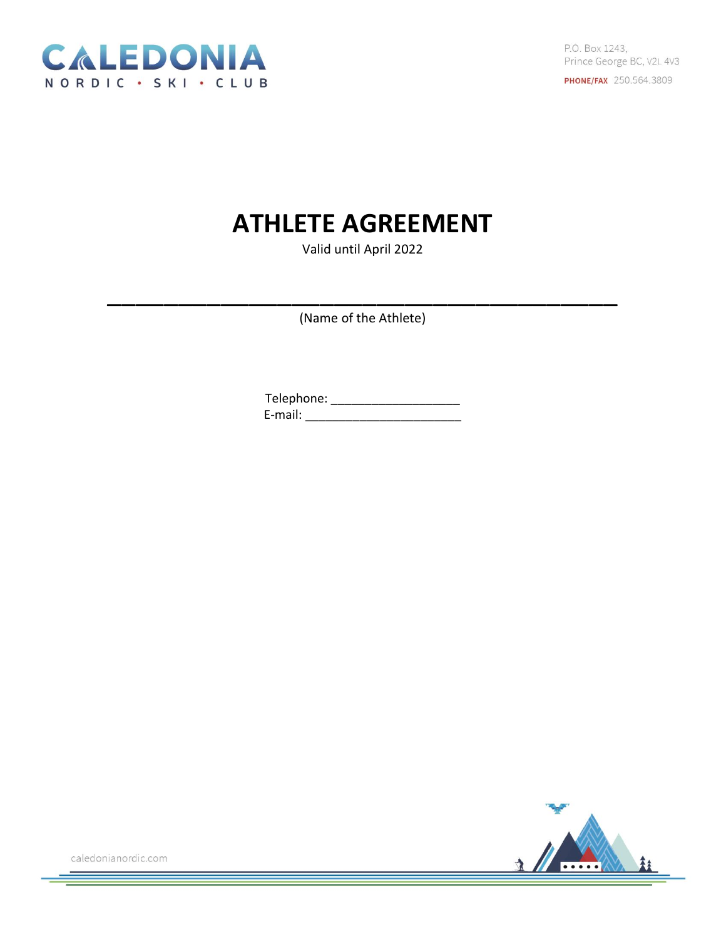

P.O. Box 1243, Prince George BC, V2L 4V3 **PHONE/FAX** 250.564.3809

## **ATHLETE AGREEMENT**

Valid until April 2022

(Name of the Athlete)

\_\_\_\_\_\_\_\_\_\_\_\_\_\_\_\_\_\_\_\_\_\_\_\_\_\_\_\_\_\_\_\_\_\_\_\_

Telephone: \_\_\_\_\_\_\_\_\_\_\_\_\_\_\_\_\_\_\_ E-mail: \_\_\_\_\_\_\_\_\_\_\_\_\_\_\_\_\_\_\_\_\_\_\_

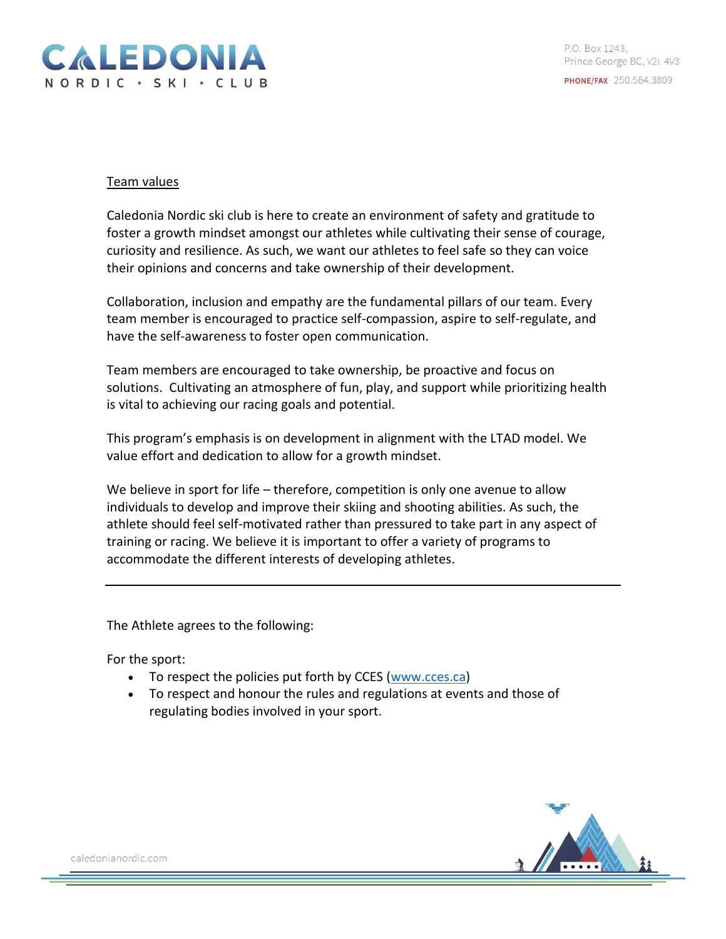

## Team values

Caledonia Nordic ski club is here to create an environment of safety and gratitude to foster a growth mindset amongst our athletes while cultivating their sense of courage, curiosity and resilience. As such, we want our athletes to feel safe so they can voice their opinions and concerns and take ownership of their development.

Collaboration, inclusion and empathy are the fundamental pillars of our team. Every team member is encouraged to practice self-compassion, aspire to self-regulate, and have the self-awareness to foster open communication.

Team members are encouraged to take ownership, be proactive and focus on solutions. Cultivating an atmosphere of fun, play, and support while prioritizing health is vital to achieving our racing goals and potential.

This program's emphasis is on development in alignment with the LTAD model. We value effort and dedication to allow for a growth mindset.

We believe in sport for life – therefore, competition is only one avenue to allow individuals to develop and improve their skiing and shooting abilities. As such, the athlete should feel self-motivated rather than pressured to take part in any aspect of training or racing. We believe it is important to offer a variety of programs to accommodate the different interests of developing athletes.

The Athlete agrees to the following:

For the sport:

- To respect the policies put forth by CCES [\(www.cces.ca\)](http://www.cces.ca/)
- To respect and honour the rules and regulations at events and those of regulating bodies involved in your sport.

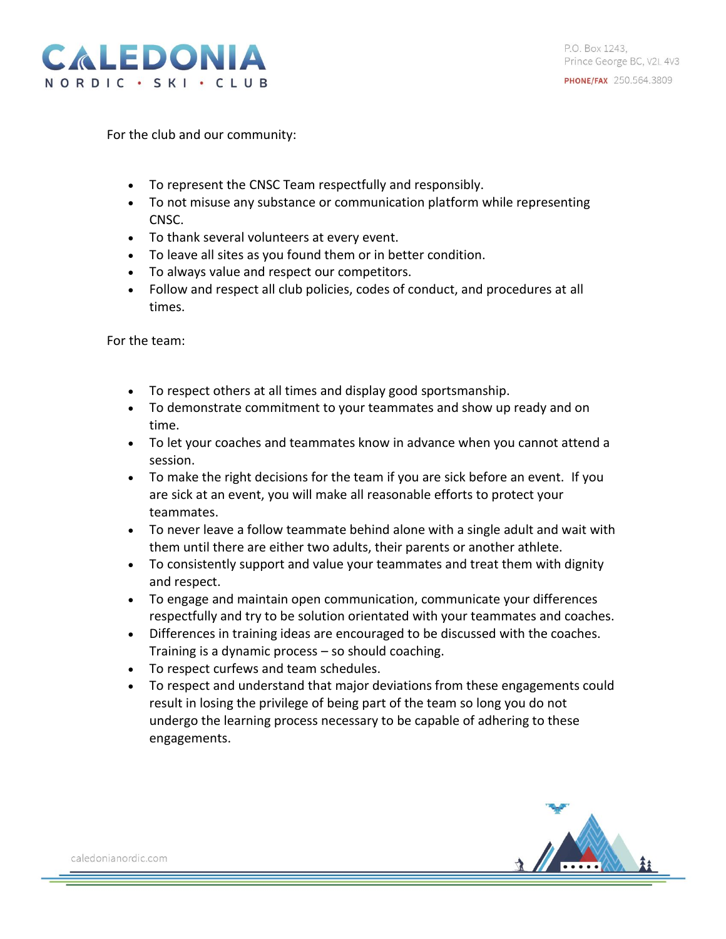

For the club and our community:

- To represent the CNSC Team respectfully and responsibly.
- To not misuse any substance or communication platform while representing CNSC.
- To thank several volunteers at every event.
- To leave all sites as you found them or in better condition.
- To always value and respect our competitors.
- Follow and respect all club policies, codes of conduct, and procedures at all times.

For the team:

- To respect others at all times and display good sportsmanship.
- To demonstrate commitment to your teammates and show up ready and on time.
- To let your coaches and teammates know in advance when you cannot attend a session.
- To make the right decisions for the team if you are sick before an event. If you are sick at an event, you will make all reasonable efforts to protect your teammates.
- To never leave a follow teammate behind alone with a single adult and wait with them until there are either two adults, their parents or another athlete.
- To consistently support and value your teammates and treat them with dignity and respect.
- To engage and maintain open communication, communicate your differences respectfully and try to be solution orientated with your teammates and coaches.
- Differences in training ideas are encouraged to be discussed with the coaches. Training is a dynamic process – so should coaching.
- To respect curfews and team schedules.
- To respect and understand that major deviations from these engagements could result in losing the privilege of being part of the team so long you do not undergo the learning process necessary to be capable of adhering to these engagements.

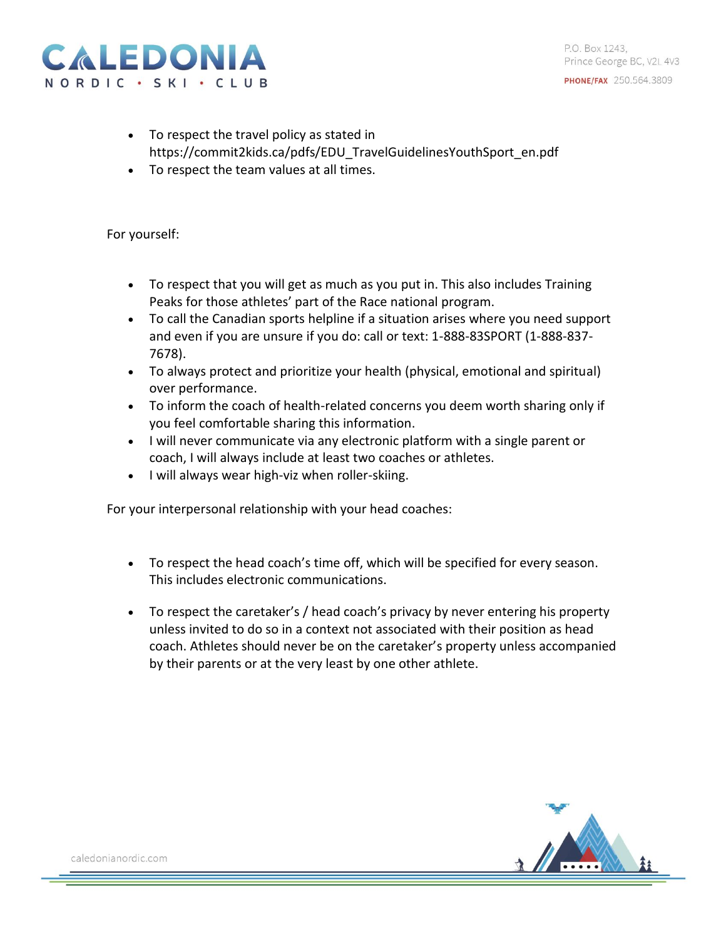



- To respect the travel policy as stated in https://commit2kids.ca/pdfs/EDU\_TravelGuidelinesYouthSport\_en.pdf
- To respect the team values at all times.

For yourself:

- To respect that you will get as much as you put in. This also includes Training Peaks for those athletes' part of the Race national program.
- To call the Canadian sports helpline if a situation arises where you need support and even if you are unsure if you do: call or text: 1-888-83SPORT (1-888-837- 7678).
- To always protect and prioritize your health (physical, emotional and spiritual) over performance.
- To inform the coach of health-related concerns you deem worth sharing only if you feel comfortable sharing this information.
- I will never communicate via any electronic platform with a single parent or coach, I will always include at least two coaches or athletes.
- I will always wear high-viz when roller-skiing.

For your interpersonal relationship with your head coaches:

- To respect the head coach's time off, which will be specified for every season. This includes electronic communications.
- To respect the caretaker's / head coach's privacy by never entering his property unless invited to do so in a context not associated with their position as head coach. Athletes should never be on the caretaker's property unless accompanied by their parents or at the very least by one other athlete.

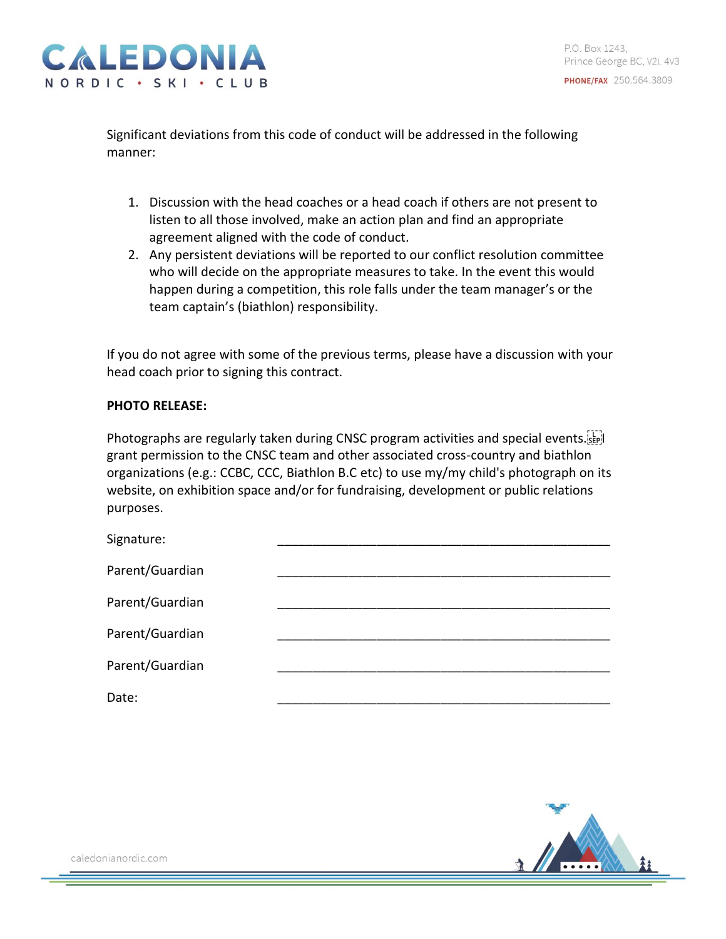Significant deviations from this code of conduct will be addressed in the following manner:

- 1. Discussion with the head coaches or a head coach if others are not present to listen to all those involved, make an action plan and find an appropriate agreement aligned with the code of conduct.
- 2. Any persistent deviations will be reported to our conflict resolution committee who will decide on the appropriate measures to take. In the event this would happen during a competition, this role falls under the team manager's or the team captain's (biathlon) responsibility.

If you do not agree with some of the previous terms, please have a discussion with your head coach prior to signing this contract.

## **PHOTO RELEASE:**

Photographs are regularly taken during CNSC program activities and special events. grant permission to the CNSC team and other associated cross-country and biathlon organizations (e.g.: CCBC, CCC, Biathlon B.C etc) to use my/my child's photograph on its website, on exhibition space and/or for fundraising, development or public relations purposes.

| Signature:      |  |
|-----------------|--|
| Parent/Guardian |  |
| Parent/Guardian |  |
| Parent/Guardian |  |
| Parent/Guardian |  |
| Date:           |  |